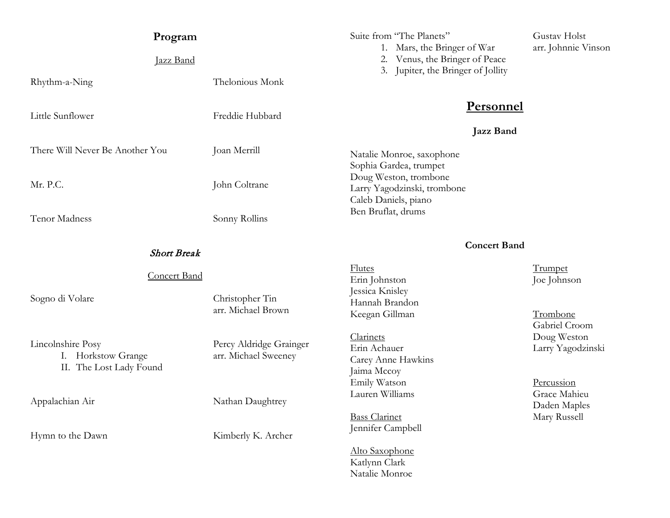| Program                                                            |                                                 | Suite from "The Planets"                                                                               | Gustav Holst                                      |
|--------------------------------------------------------------------|-------------------------------------------------|--------------------------------------------------------------------------------------------------------|---------------------------------------------------|
| Jazz Band                                                          |                                                 | 1. Mars, the Bringer of War<br>2. Venus, the Bringer of Peace<br>3. Jupiter, the Bringer of Jollity    | arr. Johnnie Vinson                               |
| Rhythm-a-Ning                                                      | Thelonious Monk                                 |                                                                                                        |                                                   |
| Little Sunflower                                                   | Freddie Hubbard                                 | <b>Personnel</b>                                                                                       |                                                   |
| There Will Never Be Another You                                    | Joan Merrill                                    | <b>Jazz Band</b><br>Natalie Monroe, saxophone                                                          |                                                   |
| Mr. P.C.                                                           | John Coltrane                                   | Sophia Gardea, trumpet<br>Doug Weston, trombone<br>Larry Yagodzinski, trombone<br>Caleb Daniels, piano |                                                   |
| <b>Tenor Madness</b>                                               | Sonny Rollins                                   | Ben Bruflat, drums                                                                                     |                                                   |
| <b>Short Break</b>                                                 |                                                 | <b>Concert Band</b>                                                                                    |                                                   |
| <b>Concert Band</b>                                                |                                                 | <b>Flutes</b><br>Erin Johnston                                                                         | <b>Trumpet</b><br>Joe Johnson                     |
| Sogno di Volare                                                    | Christopher Tin<br>arr. Michael Brown           | Jessica Knisley<br>Hannah Brandon<br>Keegan Gillman                                                    | Trombone                                          |
| Lincolnshire Posy<br>I. Horkstow Grange<br>II. The Lost Lady Found | Percy Aldridge Grainger<br>arr. Michael Sweeney | Clarinets<br>Erin Achauer<br>Carey Anne Hawkins<br>Jaima Mccoy                                         | Gabriel Croom<br>Doug Weston<br>Larry Yagodzinski |
| Appalachian Air                                                    | Nathan Daughtrey                                | Emily Watson<br>Lauren Williams                                                                        | Percussion<br>Grace Mahieu<br>Daden Maples        |
| Hymn to the Dawn                                                   | Kimberly K. Archer                              | <b>Bass Clarinet</b><br>Jennifer Campbell                                                              | Mary Russell                                      |
|                                                                    |                                                 | Alto Saxophone<br>Katlynn Clark<br>Natalie Monroe                                                      |                                                   |